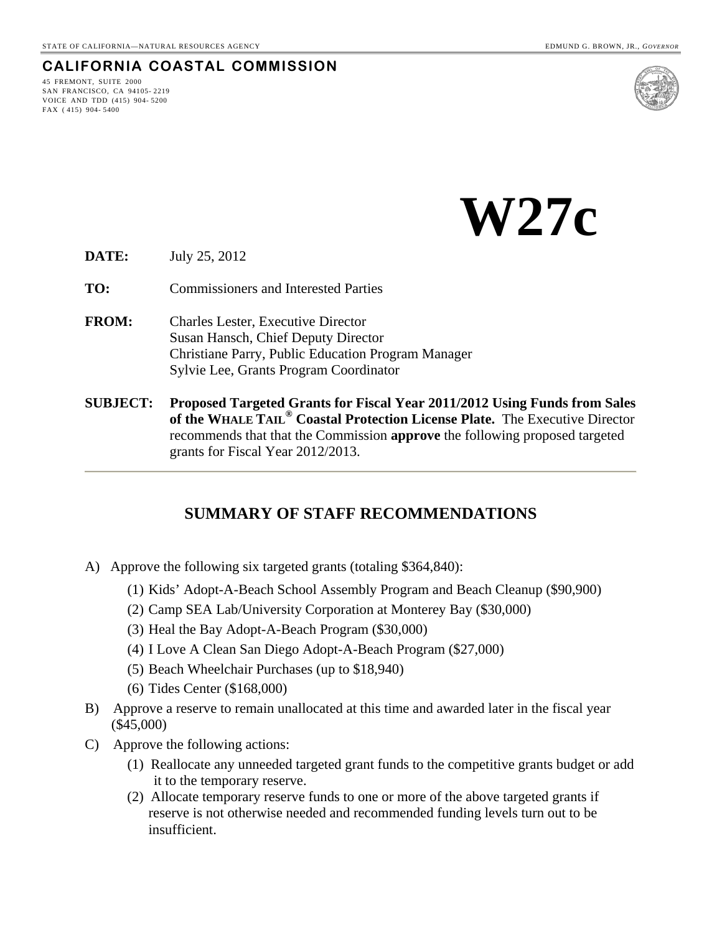### **CALIFORNIA COASTAL COMMISSION**

45 FREMONT, SUITE 2000 SAN FRANCISCO, CA 94105- 2219 VOICE AND TDD (415) 904- 5200 FAX ( 415) 904- 5400



 **W27c** 

**DATE:** July 25, 2012

**TO:** Commissioners and Interested Parties

- **FROM:** Charles Lester, Executive Director Susan Hansch, Chief Deputy Director Christiane Parry, Public Education Program Manager Sylvie Lee, Grants Program Coordinator
- **SUBJECT: Proposed Targeted Grants for Fiscal Year 2011/2012 Using Funds from Sales of the WHALE TAIL® Coastal Protection License Plate.** The Executive Director recommends that that the Commission **approve** the following proposed targeted grants for Fiscal Year 2012/2013.

### **SUMMARY OF STAFF RECOMMENDATIONS**

- A) Approve the following six targeted grants (totaling \$364,840):
	- (1) Kids' Adopt-A-Beach School Assembly Program and Beach Cleanup (\$90,900)
	- (2) Camp SEA Lab/University Corporation at Monterey Bay (\$30,000)
	- (3) Heal the Bay Adopt-A-Beach Program (\$30,000)
	- (4) I Love A Clean San Diego Adopt-A-Beach Program (\$27,000)
	- (5) Beach Wheelchair Purchases (up to \$18,940)
	- (6) Tides Center (\$168,000)
- B) Approve a reserve to remain unallocated at this time and awarded later in the fiscal year (\$45,000)
- C) Approve the following actions:
	- (1) Reallocate any unneeded targeted grant funds to the competitive grants budget or add it to the temporary reserve.
	- (2) Allocate temporary reserve funds to one or more of the above targeted grants if reserve is not otherwise needed and recommended funding levels turn out to be insufficient.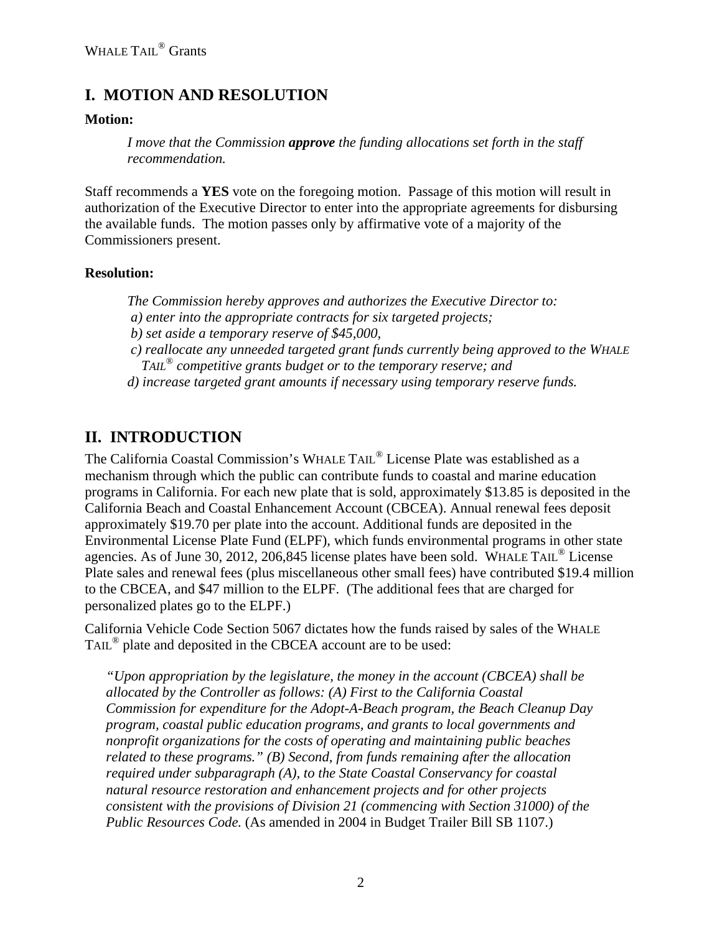## **I. MOTION AND RESOLUTION**

#### **Motion:**

*I move that the Commission approve the funding allocations set forth in the staff recommendation.* 

Staff recommends a **YES** vote on the foregoing motion. Passage of this motion will result in authorization of the Executive Director to enter into the appropriate agreements for disbursing the available funds. The motion passes only by affirmative vote of a majority of the Commissioners present.

#### **Resolution:**

*The Commission hereby approves and authorizes the Executive Director to: a) enter into the appropriate contracts for six targeted projects;* 

 *b) set aside a temporary reserve of \$45,000,* 

- *c) reallocate any unneeded targeted grant funds currently being approved to the WHALE TAIL® competitive grants budget or to the temporary reserve; and*
- *d) increase targeted grant amounts if necessary using temporary reserve funds.*

### **II. INTRODUCTION**

The California Coastal Commission's WHALE TAIL® License Plate was established as a mechanism through which the public can contribute funds to coastal and marine education programs in California. For each new plate that is sold, approximately \$13.85 is deposited in the California Beach and Coastal Enhancement Account (CBCEA). Annual renewal fees deposit approximately \$19.70 per plate into the account. Additional funds are deposited in the Environmental License Plate Fund (ELPF), which funds environmental programs in other state agencies. As of June 30, 2012, 206,845 license plates have been sold. WHALE TAIL® License Plate sales and renewal fees (plus miscellaneous other small fees) have contributed \$19.4 million to the CBCEA, and \$47 million to the ELPF. (The additional fees that are charged for personalized plates go to the ELPF.)

California Vehicle Code Section 5067 dictates how the funds raised by sales of the WHALE TAIL® plate and deposited in the CBCEA account are to be used:

*"Upon appropriation by the legislature, the money in the account (CBCEA) shall be allocated by the Controller as follows: (A) First to the California Coastal Commission for expenditure for the Adopt-A-Beach program, the Beach Cleanup Day program, coastal public education programs, and grants to local governments and nonprofit organizations for the costs of operating and maintaining public beaches related to these programs." (B) Second, from funds remaining after the allocation required under subparagraph (A), to the State Coastal Conservancy for coastal natural resource restoration and enhancement projects and for other projects consistent with the provisions of Division 21 (commencing with Section 31000) of the Public Resources Code.* (As amended in 2004 in Budget Trailer Bill SB 1107.)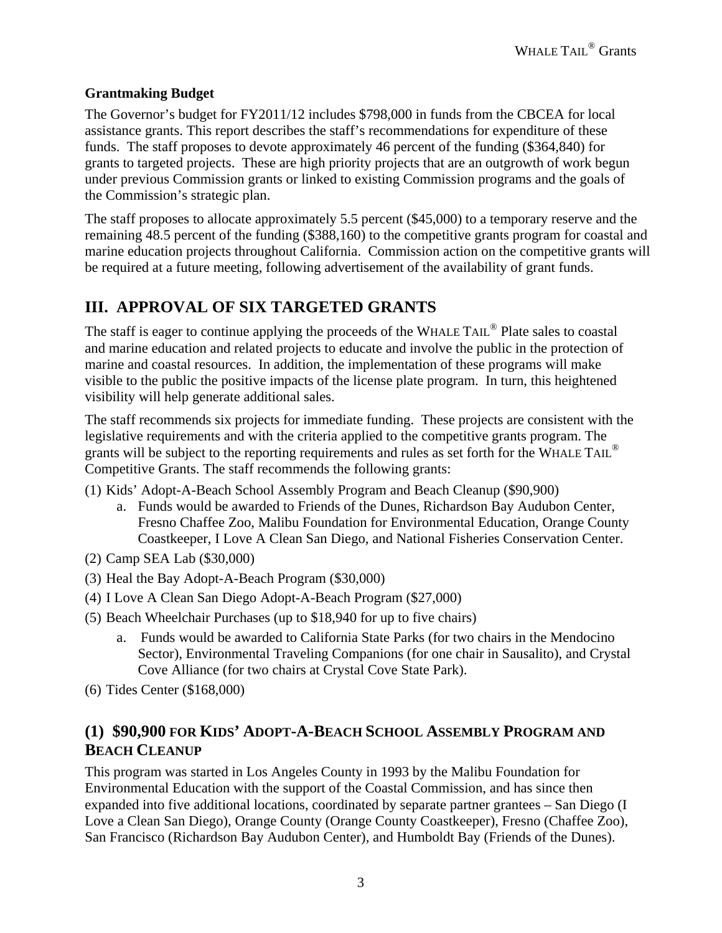### **Grantmaking Budget**

The Governor's budget for FY2011/12 includes \$798,000 in funds from the CBCEA for local assistance grants. This report describes the staff's recommendations for expenditure of these funds. The staff proposes to devote approximately 46 percent of the funding (\$364,840) for grants to targeted projects. These are high priority projects that are an outgrowth of work begun under previous Commission grants or linked to existing Commission programs and the goals of the Commission's strategic plan.

The staff proposes to allocate approximately 5.5 percent (\$45,000) to a temporary reserve and the remaining 48.5 percent of the funding (\$388,160) to the competitive grants program for coastal and marine education projects throughout California. Commission action on the competitive grants will be required at a future meeting, following advertisement of the availability of grant funds.

# **III. APPROVAL OF SIX TARGETED GRANTS**

The staff is eager to continue applying the proceeds of the WHALE TAIL<sup>®</sup> Plate sales to coastal and marine education and related projects to educate and involve the public in the protection of marine and coastal resources. In addition, the implementation of these programs will make visible to the public the positive impacts of the license plate program. In turn, this heightened visibility will help generate additional sales.

The staff recommends six projects for immediate funding. These projects are consistent with the legislative requirements and with the criteria applied to the competitive grants program. The grants will be subject to the reporting requirements and rules as set forth for the WHALE TAIL® Competitive Grants. The staff recommends the following grants:

- (1) Kids' Adopt-A-Beach School Assembly Program and Beach Cleanup (\$90,900)
	- a. Funds would be awarded to Friends of the Dunes, Richardson Bay Audubon Center, Fresno Chaffee Zoo, Malibu Foundation for Environmental Education, Orange County Coastkeeper, I Love A Clean San Diego, and National Fisheries Conservation Center.
- (2) Camp SEA Lab (\$30,000)
- (3) Heal the Bay Adopt-A-Beach Program (\$30,000)
- (4) I Love A Clean San Diego Adopt-A-Beach Program (\$27,000)
- (5) Beach Wheelchair Purchases (up to \$18,940 for up to five chairs)
	- a. Funds would be awarded to California State Parks (for two chairs in the Mendocino Sector), Environmental Traveling Companions (for one chair in Sausalito), and Crystal Cove Alliance (for two chairs at Crystal Cove State Park).
- (6) Tides Center (\$168,000)

## **(1) \$90,900 FOR KIDS' ADOPT-A-BEACH SCHOOL ASSEMBLY PROGRAM AND BEACH CLEANUP**

This program was started in Los Angeles County in 1993 by the Malibu Foundation for Environmental Education with the support of the Coastal Commission, and has since then expanded into five additional locations, coordinated by separate partner grantees – San Diego (I Love a Clean San Diego), Orange County (Orange County Coastkeeper), Fresno (Chaffee Zoo), San Francisco (Richardson Bay Audubon Center), and Humboldt Bay (Friends of the Dunes).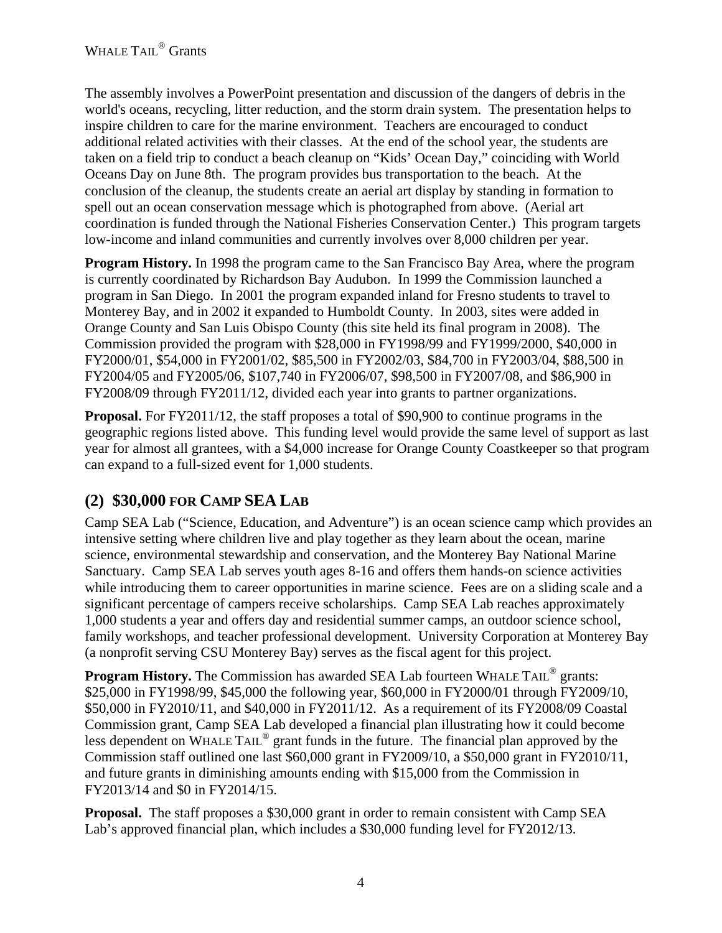The assembly involves a PowerPoint presentation and discussion of the dangers of debris in the world's oceans, recycling, litter reduction, and the storm drain system. The presentation helps to inspire children to care for the marine environment. Teachers are encouraged to conduct additional related activities with their classes. At the end of the school year, the students are taken on a field trip to conduct a beach cleanup on "Kids' Ocean Day," coinciding with World Oceans Day on June 8th. The program provides bus transportation to the beach. At the conclusion of the cleanup, the students create an aerial art display by standing in formation to spell out an ocean conservation message which is photographed from above. (Aerial art coordination is funded through the National Fisheries Conservation Center.) This program targets low-income and inland communities and currently involves over 8,000 children per year.

**Program History.** In 1998 the program came to the San Francisco Bay Area, where the program is currently coordinated by Richardson Bay Audubon. In 1999 the Commission launched a program in San Diego. In 2001 the program expanded inland for Fresno students to travel to Monterey Bay, and in 2002 it expanded to Humboldt County. In 2003, sites were added in Orange County and San Luis Obispo County (this site held its final program in 2008). The Commission provided the program with \$28,000 in FY1998/99 and FY1999/2000, \$40,000 in FY2000/01, \$54,000 in FY2001/02, \$85,500 in FY2002/03, \$84,700 in FY2003/04, \$88,500 in FY2004/05 and FY2005/06, \$107,740 in FY2006/07, \$98,500 in FY2007/08, and \$86,900 in FY2008/09 through FY2011/12, divided each year into grants to partner organizations.

**Proposal.** For FY2011/12, the staff proposes a total of \$90,900 to continue programs in the geographic regions listed above. This funding level would provide the same level of support as last year for almost all grantees, with a \$4,000 increase for Orange County Coastkeeper so that program can expand to a full-sized event for 1,000 students.

# **(2) \$30,000 FOR CAMP SEA LAB**

Camp SEA Lab ("Science, Education, and Adventure") is an ocean science camp which provides an intensive setting where children live and play together as they learn about the ocean, marine science, environmental stewardship and conservation, and the Monterey Bay National Marine Sanctuary. Camp SEA Lab serves youth ages 8-16 and offers them hands-on science activities while introducing them to career opportunities in marine science. Fees are on a sliding scale and a significant percentage of campers receive scholarships. Camp SEA Lab reaches approximately 1,000 students a year and offers day and residential summer camps, an outdoor science school, family workshops, and teacher professional development. University Corporation at Monterey Bay (a nonprofit serving CSU Monterey Bay) serves as the fiscal agent for this project.

**Program History.** The Commission has awarded SEA Lab fourteen WHALE TAIL<sup>®</sup> grants: \$25,000 in FY1998/99, \$45,000 the following year, \$60,000 in FY2000/01 through FY2009/10, \$50,000 in FY2010/11, and \$40,000 in FY2011/12. As a requirement of its FY2008/09 Coastal Commission grant, Camp SEA Lab developed a financial plan illustrating how it could become less dependent on WHALE TAIL® grant funds in the future. The financial plan approved by the Commission staff outlined one last \$60,000 grant in FY2009/10, a \$50,000 grant in FY2010/11, and future grants in diminishing amounts ending with \$15,000 from the Commission in FY2013/14 and \$0 in FY2014/15.

**Proposal.** The staff proposes a \$30,000 grant in order to remain consistent with Camp SEA Lab's approved financial plan, which includes a \$30,000 funding level for FY2012/13.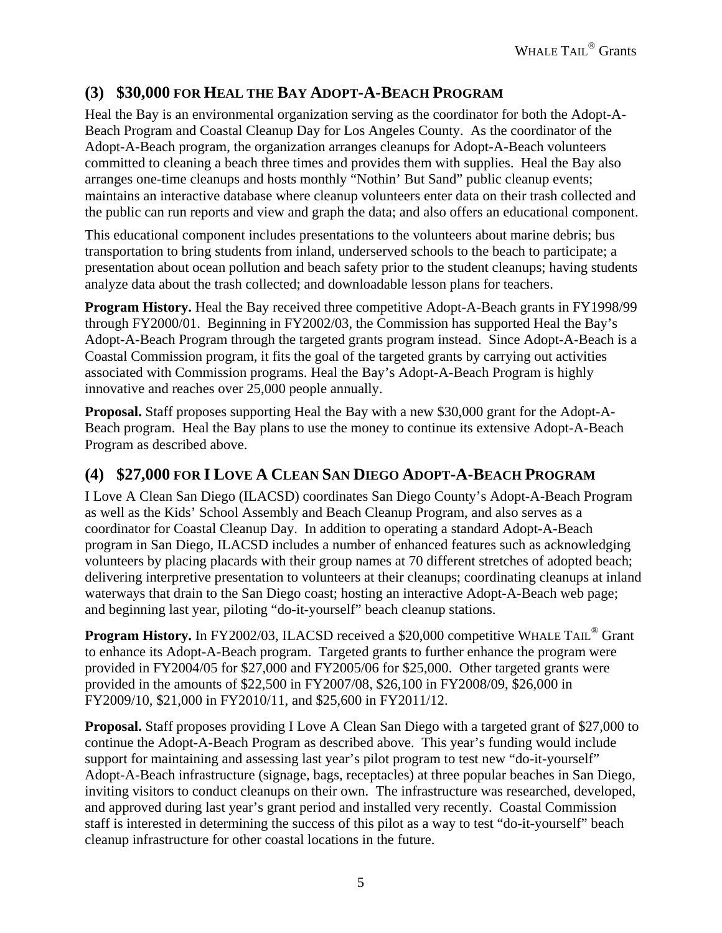## **(3) \$30,000 FOR HEAL THE BAY ADOPT-A-BEACH PROGRAM**

Heal the Bay is an environmental organization serving as the coordinator for both the Adopt-A-Beach Program and Coastal Cleanup Day for Los Angeles County. As the coordinator of the Adopt-A-Beach program, the organization arranges cleanups for Adopt-A-Beach volunteers committed to cleaning a beach three times and provides them with supplies. Heal the Bay also arranges one-time cleanups and hosts monthly "Nothin' But Sand" public cleanup events; maintains an interactive database where cleanup volunteers enter data on their trash collected and the public can run reports and view and graph the data; and also offers an educational component.

This educational component includes presentations to the volunteers about marine debris; bus transportation to bring students from inland, underserved schools to the beach to participate; a presentation about ocean pollution and beach safety prior to the student cleanups; having students analyze data about the trash collected; and downloadable lesson plans for teachers.

**Program History.** Heal the Bay received three competitive Adopt-A-Beach grants in FY1998/99 through FY2000/01. Beginning in FY2002/03, the Commission has supported Heal the Bay's Adopt-A-Beach Program through the targeted grants program instead. Since Adopt-A-Beach is a Coastal Commission program, it fits the goal of the targeted grants by carrying out activities associated with Commission programs. Heal the Bay's Adopt-A-Beach Program is highly innovative and reaches over 25,000 people annually.

**Proposal.** Staff proposes supporting Heal the Bay with a new \$30,000 grant for the Adopt-A-Beach program. Heal the Bay plans to use the money to continue its extensive Adopt-A-Beach Program as described above.

### **(4) \$27,000 FOR I LOVE A CLEAN SAN DIEGO ADOPT-A-BEACH PROGRAM**

I Love A Clean San Diego (ILACSD) coordinates San Diego County's Adopt-A-Beach Program as well as the Kids' School Assembly and Beach Cleanup Program, and also serves as a coordinator for Coastal Cleanup Day. In addition to operating a standard Adopt-A-Beach program in San Diego, ILACSD includes a number of enhanced features such as acknowledging volunteers by placing placards with their group names at 70 different stretches of adopted beach; delivering interpretive presentation to volunteers at their cleanups; coordinating cleanups at inland waterways that drain to the San Diego coast; hosting an interactive Adopt-A-Beach web page; and beginning last year, piloting "do-it-yourself" beach cleanup stations.

**Program History.** In FY2002/03, ILACSD received a \$20,000 competitive WHALE TAIL<sup>®</sup> Grant to enhance its Adopt-A-Beach program. Targeted grants to further enhance the program were provided in FY2004/05 for \$27,000 and FY2005/06 for \$25,000. Other targeted grants were provided in the amounts of \$22,500 in FY2007/08, \$26,100 in FY2008/09, \$26,000 in FY2009/10, \$21,000 in FY2010/11, and \$25,600 in FY2011/12.

**Proposal.** Staff proposes providing I Love A Clean San Diego with a targeted grant of \$27,000 to continue the Adopt-A-Beach Program as described above. This year's funding would include support for maintaining and assessing last year's pilot program to test new "do-it-yourself" Adopt-A-Beach infrastructure (signage, bags, receptacles) at three popular beaches in San Diego, inviting visitors to conduct cleanups on their own. The infrastructure was researched, developed, and approved during last year's grant period and installed very recently. Coastal Commission staff is interested in determining the success of this pilot as a way to test "do-it-yourself" beach cleanup infrastructure for other coastal locations in the future.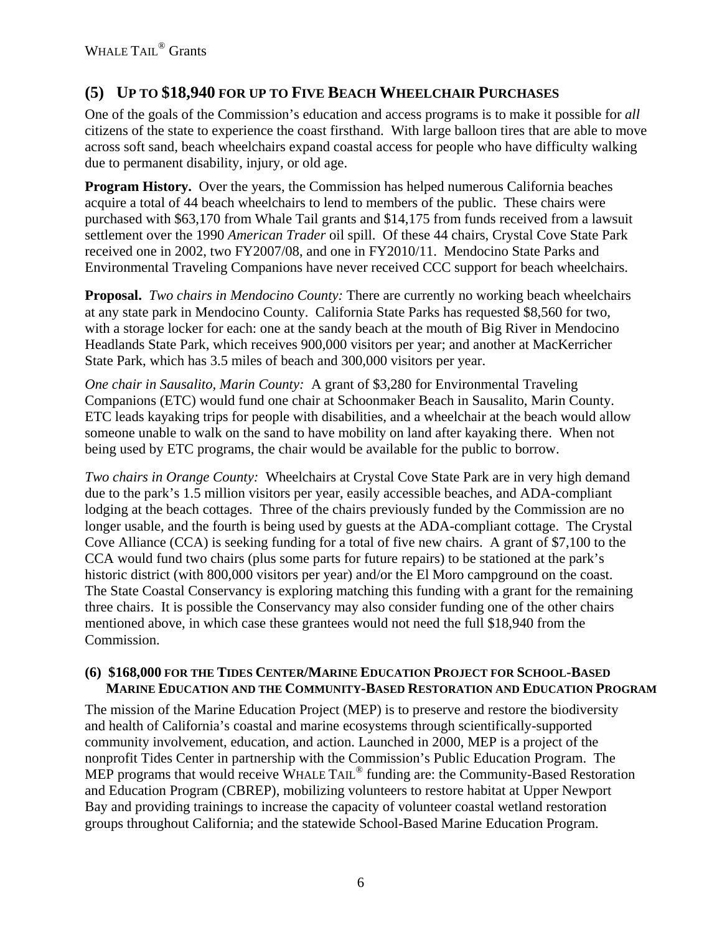## **(5) UP TO \$18,940 FOR UP TO FIVE BEACH WHEELCHAIR PURCHASES**

One of the goals of the Commission's education and access programs is to make it possible for *all* citizens of the state to experience the coast firsthand. With large balloon tires that are able to move across soft sand, beach wheelchairs expand coastal access for people who have difficulty walking due to permanent disability, injury, or old age.

**Program History.** Over the years, the Commission has helped numerous California beaches acquire a total of 44 beach wheelchairs to lend to members of the public. These chairs were purchased with \$63,170 from Whale Tail grants and \$14,175 from funds received from a lawsuit settlement over the 1990 *American Trader* oil spill. Of these 44 chairs, Crystal Cove State Park received one in 2002, two FY2007/08, and one in FY2010/11. Mendocino State Parks and Environmental Traveling Companions have never received CCC support for beach wheelchairs.

**Proposal.** *Two chairs in Mendocino County:* There are currently no working beach wheelchairs at any state park in Mendocino County. California State Parks has requested \$8,560 for two, with a storage locker for each: one at the sandy beach at the mouth of Big River in Mendocino Headlands State Park, which receives 900,000 visitors per year; and another at MacKerricher State Park, which has 3.5 miles of beach and 300,000 visitors per year.

*One chair in Sausalito, Marin County:* A grant of \$3,280 for Environmental Traveling Companions (ETC) would fund one chair at Schoonmaker Beach in Sausalito, Marin County. ETC leads kayaking trips for people with disabilities, and a wheelchair at the beach would allow someone unable to walk on the sand to have mobility on land after kayaking there. When not being used by ETC programs, the chair would be available for the public to borrow.

*Two chairs in Orange County:* Wheelchairs at Crystal Cove State Park are in very high demand due to the park's 1.5 million visitors per year, easily accessible beaches, and ADA-compliant lodging at the beach cottages. Three of the chairs previously funded by the Commission are no longer usable, and the fourth is being used by guests at the ADA-compliant cottage. The Crystal Cove Alliance (CCA) is seeking funding for a total of five new chairs. A grant of \$7,100 to the CCA would fund two chairs (plus some parts for future repairs) to be stationed at the park's historic district (with 800,000 visitors per year) and/or the El Moro campground on the coast. The State Coastal Conservancy is exploring matching this funding with a grant for the remaining three chairs. It is possible the Conservancy may also consider funding one of the other chairs mentioned above, in which case these grantees would not need the full \$18,940 from the Commission.

### **(6) \$168,000 FOR THE TIDES CENTER/MARINE EDUCATION PROJECT FOR SCHOOL-BASED MARINE EDUCATION AND THE COMMUNITY-BASED RESTORATION AND EDUCATION PROGRAM**

The mission of the Marine Education Project (MEP) is to preserve and restore the biodiversity and health of California's coastal and marine ecosystems through scientifically-supported community involvement, education, and action. Launched in 2000, MEP is a project of the nonprofit Tides Center in partnership with the Commission's Public Education Program. The MEP programs that would receive WHALE TAIL<sup>®</sup> funding are: the Community-Based Restoration and Education Program (CBREP), mobilizing volunteers to restore habitat at Upper Newport Bay and providing trainings to increase the capacity of volunteer coastal wetland restoration groups throughout California; and the statewide School-Based Marine Education Program.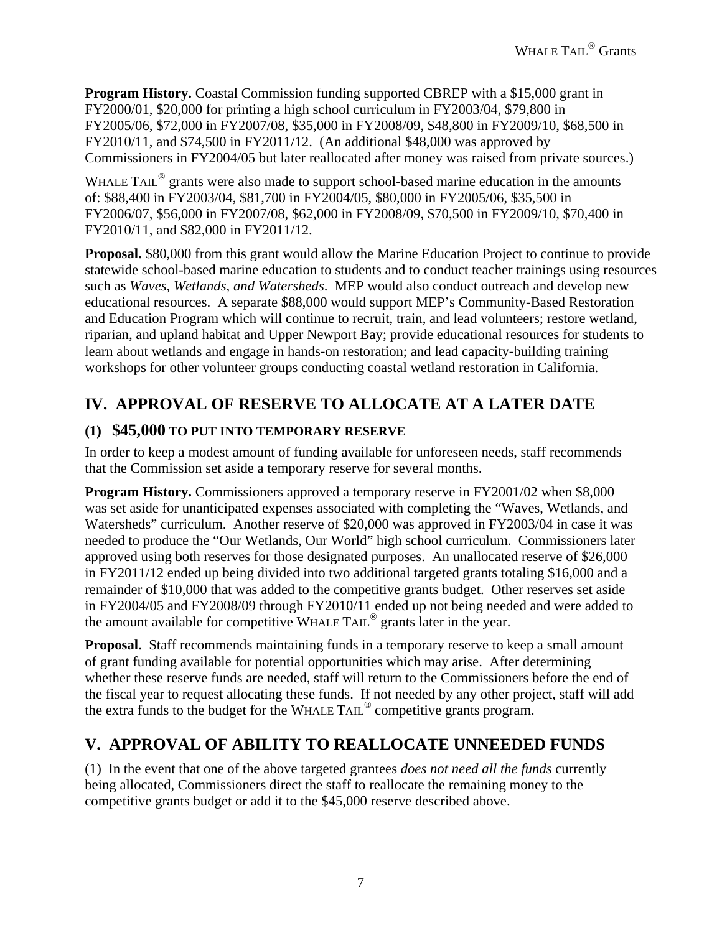**Program History.** Coastal Commission funding supported CBREP with a \$15,000 grant in FY2000/01, \$20,000 for printing a high school curriculum in FY2003/04, \$79,800 in FY2005/06, \$72,000 in FY2007/08, \$35,000 in FY2008/09, \$48,800 in FY2009/10, \$68,500 in FY2010/11, and \$74,500 in FY2011/12. (An additional \$48,000 was approved by Commissioners in FY2004/05 but later reallocated after money was raised from private sources.)

WHALE TAIL<sup>®</sup> grants were also made to support school-based marine education in the amounts of: \$88,400 in FY2003/04, \$81,700 in FY2004/05, \$80,000 in FY2005/06, \$35,500 in FY2006/07, \$56,000 in FY2007/08, \$62,000 in FY2008/09, \$70,500 in FY2009/10, \$70,400 in FY2010/11, and \$82,000 in FY2011/12.

**Proposal.** \$80,000 from this grant would allow the Marine Education Project to continue to provide statewide school-based marine education to students and to conduct teacher trainings using resources such as *Waves, Wetlands, and Watersheds*. MEP would also conduct outreach and develop new educational resources. A separate \$88,000 would support MEP's Community-Based Restoration and Education Program which will continue to recruit, train, and lead volunteers; restore wetland, riparian, and upland habitat and Upper Newport Bay; provide educational resources for students to learn about wetlands and engage in hands-on restoration; and lead capacity-building training workshops for other volunteer groups conducting coastal wetland restoration in California.

# **IV. APPROVAL OF RESERVE TO ALLOCATE AT A LATER DATE**

### **(1) \$45,000 TO PUT INTO TEMPORARY RESERVE**

In order to keep a modest amount of funding available for unforeseen needs, staff recommends that the Commission set aside a temporary reserve for several months.

**Program History.** Commissioners approved a temporary reserve in FY2001/02 when \$8,000 was set aside for unanticipated expenses associated with completing the "Waves, Wetlands, and Watersheds" curriculum. Another reserve of \$20,000 was approved in FY2003/04 in case it was needed to produce the "Our Wetlands, Our World" high school curriculum. Commissioners later approved using both reserves for those designated purposes. An unallocated reserve of \$26,000 in FY2011/12 ended up being divided into two additional targeted grants totaling \$16,000 and a remainder of \$10,000 that was added to the competitive grants budget. Other reserves set aside in FY2004/05 and FY2008/09 through FY2010/11 ended up not being needed and were added to the amount available for competitive WHALE TAIL® grants later in the year.

**Proposal.** Staff recommends maintaining funds in a temporary reserve to keep a small amount of grant funding available for potential opportunities which may arise. After determining whether these reserve funds are needed, staff will return to the Commissioners before the end of the fiscal year to request allocating these funds. If not needed by any other project, staff will add the extra funds to the budget for the WHALE TAIL® competitive grants program.

## **V. APPROVAL OF ABILITY TO REALLOCATE UNNEEDED FUNDS**

(1) In the event that one of the above targeted grantees *does not need all the funds* currently being allocated, Commissioners direct the staff to reallocate the remaining money to the competitive grants budget or add it to the \$45,000 reserve described above.